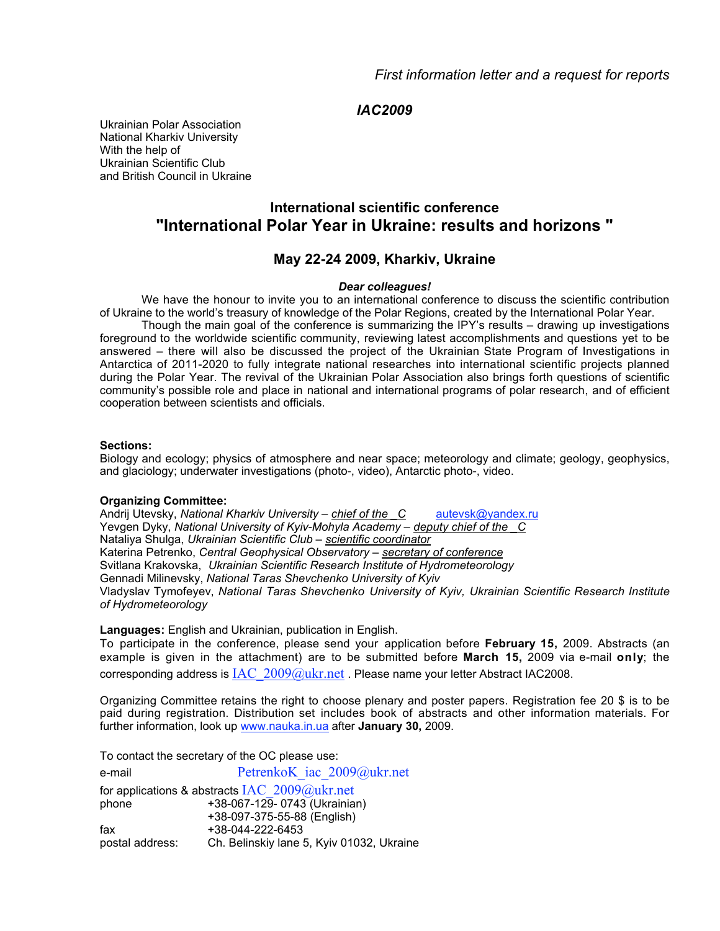## *IAC2009*

Ukrainian Polar Association National Kharkiv University With the help of Ukrainian Scientific Club and British Council in Ukraine

# **International scientific conference "International Polar Year in Ukraine: results and horizons "**

## **May 22-24 2009, Kharkiv, Ukraine**

#### *Dear colleagues!*

We have the honour to invite you to an international conference to discuss the scientific contribution of Ukraine to the world's treasury of knowledge of the Polar Regions, created by the International Polar Year.

Though the main goal of the conference is summarizing the IPY's results – drawing up investigations foreground to the worldwide scientific community, reviewing latest accomplishments and questions yet to be answered – there will also be discussed the project of the Ukrainian State Program of Investigations in Antarctica of 2011-2020 to fully integrate national researches into international scientific projects planned during the Polar Year. The revival of the Ukrainian Polar Association also brings forth questions of scientific community's possible role and place in national and international programs of polar research, and of efficient cooperation between scientists and officials.

#### **Sections:**

Biology and ecology; physics of atmosphere and near space; meteorology and climate; geology, geophysics, and glaciology; underwater investigations (photo-, video), Antarctic photo-, video.

#### **Organizing Committee:**

Andrij Utevsky, *National Kharkiv University – chief of the C* autevsk@yandex.ru Yevgen Dyky, *National University of Kyiv-Mohyla Academy – deputy chief of the C* Nataliya Shulga, *Ukrainian Scientific Club – scientific coordinator* Katerina Petrenko, *Central Geophysical Observatory – secretary of conference* Svitlana Krakovska, *Ukrainian Scientific Research Institute of Hydrometeorology* Gennadi Milinevsky, *National Taras Shevchenko University of Kyiv* Vladyslav Tymofeyev, *National Taras Shevchenko University of Kyiv, Ukrainian Scientific Research Institute of Hydrometeorology*

**Languages:** English and Ukrainian, publication in English.

To participate in the conference, please send your application before **February 15,** 2009. Abstracts (an example is given in the attachment) are to be submitted before **March 15,** 2009 via e-mail **only**; the corresponding address is  $IAC$   $2009@ukr.net$ . Please name your letter Abstract IAC2008.

Organizing Committee retains the right to choose plenary and poster papers. Registration fee 20 \$ is to be paid during registration. Distribution set includes book of abstracts and other information materials. For further information, look up www.nauka.in.ua after **January 30,** 2009.

To contact the secretary of the OC please use:

e-mail PetrenkoK iac 2009@ukr.net for applications & abstracts  $IAC$   $2009@u$ kr.net phone +38-067-129- 0743 (Ukrainian) +38-097-375-55-88 (English) fax +38-044-222-6453 postal address: Ch. Belinskiy lane 5, Kyiv 01032, Ukraine